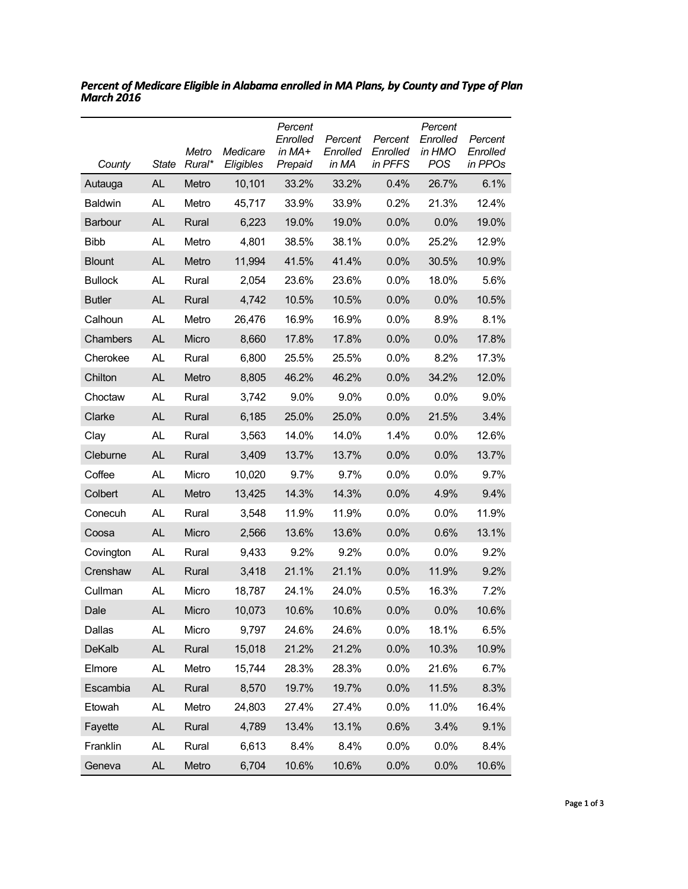| County         | State     | Metro<br>Rural* | Medicare<br>Eligibles | Percent<br>Enrolled<br>in MA+<br>Prepaid | Percent<br>Enrolled<br>in MA | Percent<br>Enrolled<br>in PFFS | Percent<br>Enrolled<br>in HMO<br><b>POS</b> | Percent<br>Enrolled<br>in PPOs |
|----------------|-----------|-----------------|-----------------------|------------------------------------------|------------------------------|--------------------------------|---------------------------------------------|--------------------------------|
| Autauga        | <b>AL</b> | Metro           | 10,101                | 33.2%                                    | 33.2%                        | 0.4%                           | 26.7%                                       | 6.1%                           |
| <b>Baldwin</b> | <b>AL</b> | Metro           | 45,717                | 33.9%                                    | 33.9%                        | 0.2%                           | 21.3%                                       | 12.4%                          |
| Barbour        | <b>AL</b> | Rural           | 6,223                 | 19.0%                                    | 19.0%                        | 0.0%                           | 0.0%                                        | 19.0%                          |
| <b>Bibb</b>    | AL        | Metro           | 4,801                 | 38.5%                                    | 38.1%                        | 0.0%                           | 25.2%                                       | 12.9%                          |
| <b>Blount</b>  | <b>AL</b> | Metro           | 11,994                | 41.5%                                    | 41.4%                        | 0.0%                           | 30.5%                                       | 10.9%                          |
| <b>Bullock</b> | AL.       | Rural           | 2,054                 | 23.6%                                    | 23.6%                        | 0.0%                           | 18.0%                                       | 5.6%                           |
| <b>Butler</b>  | <b>AL</b> | Rural           | 4,742                 | 10.5%                                    | 10.5%                        | 0.0%                           | 0.0%                                        | 10.5%                          |
| Calhoun        | <b>AL</b> | Metro           | 26,476                | 16.9%                                    | 16.9%                        | 0.0%                           | 8.9%                                        | 8.1%                           |
| Chambers       | <b>AL</b> | Micro           | 8,660                 | 17.8%                                    | 17.8%                        | 0.0%                           | 0.0%                                        | 17.8%                          |
| Cherokee       | <b>AL</b> | Rural           | 6,800                 | 25.5%                                    | 25.5%                        | 0.0%                           | 8.2%                                        | 17.3%                          |
| Chilton        | <b>AL</b> | Metro           | 8,805                 | 46.2%                                    | 46.2%                        | 0.0%                           | 34.2%                                       | 12.0%                          |
| Choctaw        | <b>AL</b> | Rural           | 3,742                 | 9.0%                                     | 9.0%                         | 0.0%                           | $0.0\%$                                     | 9.0%                           |
| Clarke         | <b>AL</b> | Rural           | 6,185                 | 25.0%                                    | 25.0%                        | 0.0%                           | 21.5%                                       | 3.4%                           |
| Clay           | <b>AL</b> | Rural           | 3,563                 | 14.0%                                    | 14.0%                        | 1.4%                           | 0.0%                                        | 12.6%                          |
| Cleburne       | <b>AL</b> | Rural           | 3,409                 | 13.7%                                    | 13.7%                        | 0.0%                           | 0.0%                                        | 13.7%                          |
| Coffee         | <b>AL</b> | Micro           | 10,020                | 9.7%                                     | 9.7%                         | 0.0%                           | 0.0%                                        | 9.7%                           |
| Colbert        | <b>AL</b> | Metro           | 13,425                | 14.3%                                    | 14.3%                        | 0.0%                           | 4.9%                                        | 9.4%                           |
| Conecuh        | <b>AL</b> | Rural           | 3,548                 | 11.9%                                    | 11.9%                        | 0.0%                           | $0.0\%$                                     | 11.9%                          |
| Coosa          | <b>AL</b> | Micro           | 2,566                 | 13.6%                                    | 13.6%                        | 0.0%                           | 0.6%                                        | 13.1%                          |
| Covington      | AL.       | Rural           | 9,433                 | 9.2%                                     | 9.2%                         | 0.0%                           | 0.0%                                        | 9.2%                           |
| Crenshaw       | <b>AL</b> | Rural           | 3,418                 | 21.1%                                    | 21.1%                        | 0.0%                           | 11.9%                                       | 9.2%                           |
| Cullman        | AL        | Micro           | 18,787                | 24.1%                                    | 24.0%                        | 0.5%                           | 16.3%                                       | 7.2%                           |
| Dale           | AL        | Micro           | 10,073                | 10.6%                                    | 10.6%                        | 0.0%                           | 0.0%                                        | 10.6%                          |
| Dallas         | AL.       | Micro           | 9,797                 | 24.6%                                    | 24.6%                        | 0.0%                           | 18.1%                                       | 6.5%                           |
| <b>DeKalb</b>  | AL        | Rural           | 15,018                | 21.2%                                    | 21.2%                        | 0.0%                           | 10.3%                                       | 10.9%                          |
| Elmore         | AL.       | Metro           | 15,744                | 28.3%                                    | 28.3%                        | 0.0%                           | 21.6%                                       | 6.7%                           |
| Escambia       | <b>AL</b> | Rural           | 8,570                 | 19.7%                                    | 19.7%                        | 0.0%                           | 11.5%                                       | 8.3%                           |
| Etowah         | AL        | Metro           | 24,803                | 27.4%                                    | 27.4%                        | 0.0%                           | 11.0%                                       | 16.4%                          |
| Fayette        | <b>AL</b> | Rural           | 4,789                 | 13.4%                                    | 13.1%                        | 0.6%                           | 3.4%                                        | 9.1%                           |
| Franklin       | AL.       | Rural           | 6,613                 | 8.4%                                     | 8.4%                         | 0.0%                           | 0.0%                                        | 8.4%                           |
| Geneva         | <b>AL</b> | Metro           | 6,704                 | 10.6%                                    | 10.6%                        | 0.0%                           | 0.0%                                        | 10.6%                          |

*Percent of Medicare Eligible in Alabama enrolled in MA Plans, by County and Type of Plan March 2016*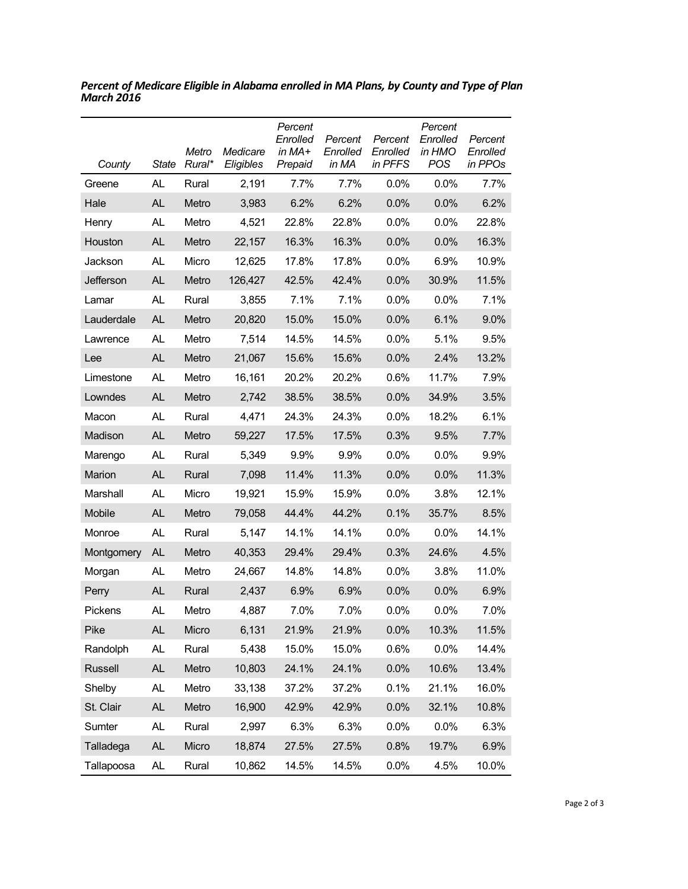| County     | <b>State</b> | Metro<br>Rural* | Medicare<br>Eligibles | Percent<br>Enrolled<br>in MA+<br>Prepaid | Percent<br>Enrolled<br>in MA | Percent<br>Enrolled<br>in PFFS | Percent<br>Enrolled<br>in HMO<br>POS | Percent<br>Enrolled<br>in PPOs |
|------------|--------------|-----------------|-----------------------|------------------------------------------|------------------------------|--------------------------------|--------------------------------------|--------------------------------|
| Greene     | AL           | Rural           | 2,191                 | 7.7%                                     | 7.7%                         | $0.0\%$                        | 0.0%                                 | 7.7%                           |
| Hale       | AL           | Metro           | 3,983                 | 6.2%                                     | 6.2%                         | 0.0%                           | 0.0%                                 | 6.2%                           |
| Henry      | AL           | Metro           | 4,521                 | 22.8%                                    | 22.8%                        | 0.0%                           | 0.0%                                 | 22.8%                          |
| Houston    | <b>AL</b>    | Metro           | 22,157                | 16.3%                                    | 16.3%                        | 0.0%                           | 0.0%                                 | 16.3%                          |
| Jackson    | <b>AL</b>    | Micro           | 12,625                | 17.8%                                    | 17.8%                        | 0.0%                           | 6.9%                                 | 10.9%                          |
| Jefferson  | <b>AL</b>    | Metro           | 126,427               | 42.5%                                    | 42.4%                        | 0.0%                           | 30.9%                                | 11.5%                          |
| Lamar      | <b>AL</b>    | Rural           | 3,855                 | 7.1%                                     | 7.1%                         | $0.0\%$                        | 0.0%                                 | 7.1%                           |
| Lauderdale | <b>AL</b>    | Metro           | 20,820                | 15.0%                                    | 15.0%                        | 0.0%                           | 6.1%                                 | 9.0%                           |
| Lawrence   | AL           | Metro           | 7,514                 | 14.5%                                    | 14.5%                        | $0.0\%$                        | 5.1%                                 | 9.5%                           |
| Lee        | <b>AL</b>    | Metro           | 21,067                | 15.6%                                    | 15.6%                        | 0.0%                           | 2.4%                                 | 13.2%                          |
| Limestone  | AL.          | Metro           | 16,161                | 20.2%                                    | 20.2%                        | 0.6%                           | 11.7%                                | 7.9%                           |
| Lowndes    | <b>AL</b>    | Metro           | 2,742                 | 38.5%                                    | 38.5%                        | 0.0%                           | 34.9%                                | 3.5%                           |
| Macon      | <b>AL</b>    | Rural           | 4,471                 | 24.3%                                    | 24.3%                        | $0.0\%$                        | 18.2%                                | 6.1%                           |
| Madison    | <b>AL</b>    | Metro           | 59,227                | 17.5%                                    | 17.5%                        | 0.3%                           | 9.5%                                 | 7.7%                           |
| Marengo    | <b>AL</b>    | Rural           | 5,349                 | 9.9%                                     | 9.9%                         | 0.0%                           | 0.0%                                 | 9.9%                           |
| Marion     | <b>AL</b>    | Rural           | 7,098                 | 11.4%                                    | 11.3%                        | 0.0%                           | 0.0%                                 | 11.3%                          |
| Marshall   | AL           | Micro           | 19,921                | 15.9%                                    | 15.9%                        | 0.0%                           | 3.8%                                 | 12.1%                          |
| Mobile     | <b>AL</b>    | Metro           | 79,058                | 44.4%                                    | 44.2%                        | 0.1%                           | 35.7%                                | 8.5%                           |
| Monroe     | <b>AL</b>    | Rural           | 5,147                 | 14.1%                                    | 14.1%                        | 0.0%                           | 0.0%                                 | 14.1%                          |
| Montgomery | AL           | Metro           | 40,353                | 29.4%                                    | 29.4%                        | 0.3%                           | 24.6%                                | 4.5%                           |
| Morgan     | AL           | Metro           | 24,667                | 14.8%                                    | 14.8%                        | 0.0%                           | 3.8%                                 | 11.0%                          |
| Perry      | <b>AL</b>    | Rural           | 2,437                 | 6.9%                                     | 6.9%                         | 0.0%                           | 0.0%                                 | 6.9%                           |
| Pickens    | AL           | Metro           | 4,887                 | 7.0%                                     | 7.0%                         | 0.0%                           | 0.0%                                 | 7.0%                           |
| Pike       | <b>AL</b>    | Micro           | 6,131                 | 21.9%                                    | 21.9%                        | 0.0%                           | 10.3%                                | 11.5%                          |
| Randolph   | AL           | Rural           | 5,438                 | 15.0%                                    | 15.0%                        | 0.6%                           | 0.0%                                 | 14.4%                          |
| Russell    | <b>AL</b>    | Metro           | 10,803                | 24.1%                                    | 24.1%                        | 0.0%                           | 10.6%                                | 13.4%                          |
| Shelby     | AL.          | Metro           | 33,138                | 37.2%                                    | 37.2%                        | 0.1%                           | 21.1%                                | 16.0%                          |
| St. Clair  | <b>AL</b>    | Metro           | 16,900                | 42.9%                                    | 42.9%                        | 0.0%                           | 32.1%                                | 10.8%                          |
| Sumter     | AL.          | Rural           | 2,997                 | 6.3%                                     | 6.3%                         | 0.0%                           | 0.0%                                 | 6.3%                           |
| Talladega  | AL           | Micro           | 18,874                | 27.5%                                    | 27.5%                        | 0.8%                           | 19.7%                                | 6.9%                           |
| Tallapoosa | AL           | Rural           | 10,862                | 14.5%                                    | 14.5%                        | 0.0%                           | 4.5%                                 | 10.0%                          |

*Percent of Medicare Eligible in Alabama enrolled in MA Plans, by County and Type of Plan March 2016*